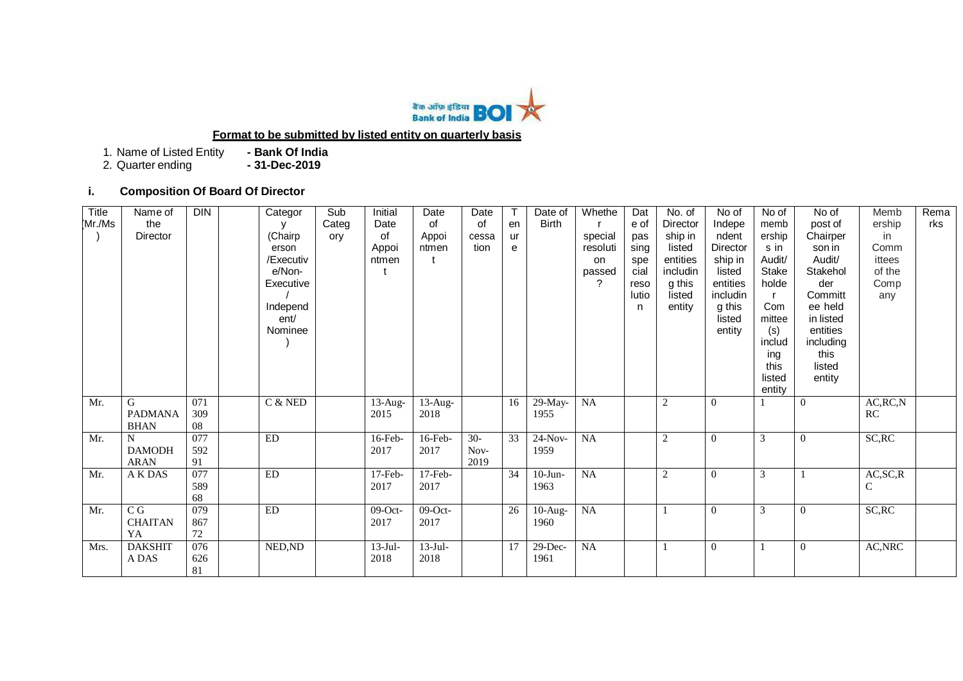

# **Format to be submitted by listed entity on quarterly basis**

1. Name of Listed Entity **- Bank Of India**

2. Quarter ending

# **i. Composition Of Board Of Director**

| Title<br>Mr./Ms | Name of<br>the<br>Director                  | <b>DIN</b>       | Categor<br>y<br>(Chairp<br>erson<br>/Executiv<br>e/Non-<br>Executive<br>Independ<br>ent/<br>Nominee | Sub<br>Categ<br>ory | Initial<br>Date<br>of<br>Appoi<br>ntmen | Date<br>of<br>Appoi<br>ntmen | Date<br>of<br>cessa<br>tion | en<br>ur<br>e | Date of<br><b>Birth</b> | Whethe<br>special<br>resoluti<br>on<br>passed<br>$\gamma$ | Dat<br>e of<br>pas<br>sing<br>spe<br>cial<br>reso<br>lutio<br>n | No. of<br>Director<br>ship in<br>listed<br>entities<br>includin<br>g this<br>listed<br>entity | No of<br>Indepe<br>ndent<br>Director<br>ship in<br>listed<br>entities<br>includin<br>g this<br>listed<br>entity | No of<br>memb<br>ership<br>s in<br>Audit/<br>Stake<br>holde<br>Com<br>mittee<br>(s)<br>includ<br>ing<br>this<br>listed<br>entity | No of<br>post of<br>Chairper<br>son in<br>Audit/<br>Stakehol<br>der<br>Committ<br>ee held<br>in listed<br>entities<br>including<br>this<br>listed<br>entity | Memb<br>ership<br>in<br>Comm<br>ittees<br>of the<br>Comp<br>any | Rema<br>rks |
|-----------------|---------------------------------------------|------------------|-----------------------------------------------------------------------------------------------------|---------------------|-----------------------------------------|------------------------------|-----------------------------|---------------|-------------------------|-----------------------------------------------------------|-----------------------------------------------------------------|-----------------------------------------------------------------------------------------------|-----------------------------------------------------------------------------------------------------------------|----------------------------------------------------------------------------------------------------------------------------------|-------------------------------------------------------------------------------------------------------------------------------------------------------------|-----------------------------------------------------------------|-------------|
| Mr.             | G<br><b>PADMANA</b><br><b>BHAN</b>          | 071<br>309<br>08 | $C$ & NED                                                                                           |                     | $13$ -Aug-<br>2015                      | $13$ -Aug-<br>2018           |                             | 16            | $29-May-$<br>1955       | <b>NA</b>                                                 |                                                                 | 2                                                                                             | $\overline{0}$                                                                                                  |                                                                                                                                  | $\theta$                                                                                                                                                    | AC, RC, N<br>RC                                                 |             |
| Mr.             | $\mathbf N$<br><b>DAMODH</b><br><b>ARAN</b> | 077<br>592<br>91 | ED                                                                                                  |                     | $16$ -Feb-<br>2017                      | 16-Feb-<br>2017              | $30-$<br>Nov-<br>2019       | 33            | $24-Nov-$<br>1959       | <b>NA</b>                                                 |                                                                 | $\overline{2}$                                                                                | $\overline{0}$                                                                                                  | 3                                                                                                                                | $\overline{0}$                                                                                                                                              | SC, RC                                                          |             |
| Mr.             | A K DAS                                     | 077<br>589<br>68 | ED                                                                                                  |                     | $17$ -Feb-<br>2017                      | $17$ -Feb-<br>2017           |                             | 34            | $10-J$ un-<br>1963      | <b>NA</b>                                                 |                                                                 | $\sqrt{2}$                                                                                    | $\overline{0}$                                                                                                  | 3                                                                                                                                |                                                                                                                                                             | AC, SC, R<br>C                                                  |             |
| Mr.             | $\overline{CG}$<br><b>CHAITAN</b><br>YA     | 079<br>867<br>72 | <b>ED</b>                                                                                           |                     | $09$ -Oct-<br>2017                      | $09$ -Oct-<br>2017           |                             | 26            | $10$ -Aug-<br>1960      | <b>NA</b>                                                 |                                                                 |                                                                                               | $\overline{0}$                                                                                                  | 3                                                                                                                                | $\theta$                                                                                                                                                    | SC, RC                                                          |             |
| Mrs.            | <b>DAKSHIT</b><br>A DAS                     | 076<br>626<br>81 | NED, ND                                                                                             |                     | $13-Jul-$<br>2018                       | $13-Jul-$<br>2018            |                             | 17            | $29$ -Dec-<br>1961      | <b>NA</b>                                                 |                                                                 |                                                                                               | $\boldsymbol{0}$                                                                                                |                                                                                                                                  | $\overline{0}$                                                                                                                                              | AC, NRC                                                         |             |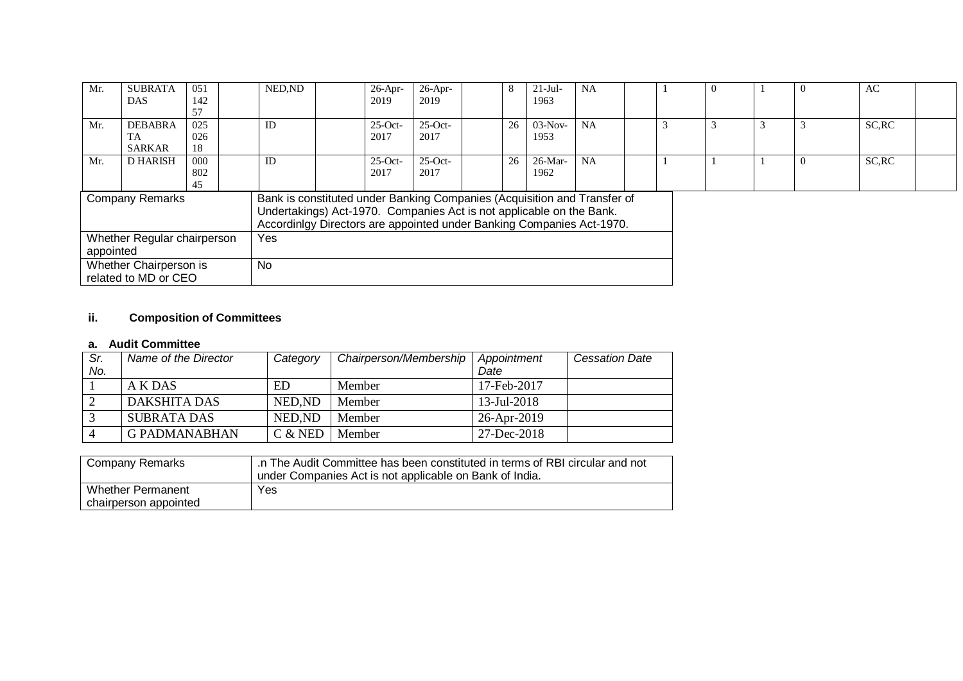| Mr.                                                                                                                                                                                                                                                 | <b>SUBRATA</b><br><b>DAS</b> | 051<br>142 |  | NED.ND     | $26$ -Apr-<br>2019 | $26$ -Apr-<br>2019 | 8  | $21-Jul-$<br>1963 | <b>NA</b> |  | $\theta$ | $\Omega$ | AC     |  |
|-----------------------------------------------------------------------------------------------------------------------------------------------------------------------------------------------------------------------------------------------------|------------------------------|------------|--|------------|--------------------|--------------------|----|-------------------|-----------|--|----------|----------|--------|--|
|                                                                                                                                                                                                                                                     |                              | 57         |  |            |                    |                    |    |                   |           |  |          |          |        |  |
| Mr.                                                                                                                                                                                                                                                 | <b>DEBABRA</b>               | 025        |  | ID         | $25$ -Oct-         | $25-Oct-$          | 26 | $03-Nov-$         | <b>NA</b> |  | 3        |          | SC, RC |  |
|                                                                                                                                                                                                                                                     | TA                           | 026        |  |            | 2017               | 2017               |    | 1953              |           |  |          |          |        |  |
|                                                                                                                                                                                                                                                     | <b>SARKAR</b>                | 18         |  |            |                    |                    |    |                   |           |  |          |          |        |  |
| Mr.                                                                                                                                                                                                                                                 | <b>D HARISH</b>              | 000        |  | ID         | $25$ -Oct-         | $25-Oct-$          | 26 | $26$ -Mar-        | <b>NA</b> |  |          | $\Omega$ | SC, RC |  |
|                                                                                                                                                                                                                                                     |                              | 802        |  |            | 2017               | 2017               |    | 1962              |           |  |          |          |        |  |
|                                                                                                                                                                                                                                                     |                              | 45         |  |            |                    |                    |    |                   |           |  |          |          |        |  |
| Bank is constituted under Banking Companies (Acquisition and Transfer of<br><b>Company Remarks</b><br>Undertakings) Act-1970. Companies Act is not applicable on the Bank.<br>Accordinigy Directors are appointed under Banking Companies Act-1970. |                              |            |  |            |                    |                    |    |                   |           |  |          |          |        |  |
|                                                                                                                                                                                                                                                     | Whether Regular chairperson  |            |  | <b>Yes</b> |                    |                    |    |                   |           |  |          |          |        |  |
| appointed                                                                                                                                                                                                                                           |                              |            |  |            |                    |                    |    |                   |           |  |          |          |        |  |
| Whether Chairperson is<br>related to MD or CEO                                                                                                                                                                                                      |                              |            |  | <b>No</b>  |                    |                    |    |                   |           |  |          |          |        |  |

# **ii. Composition of Committees**

## **a. Audit Committee**

| Sr. | Name of the Director | Category  | Chairperson/Membership | Appointment              | <b>Cessation Date</b> |
|-----|----------------------|-----------|------------------------|--------------------------|-----------------------|
| No. |                      |           |                        | Date                     |                       |
|     | A K DAS              | <b>ED</b> | Member                 | 17-Feb-2017              |                       |
|     | DAKSHITA DAS         | NED.ND    | Member                 | $13 - \text{Jul} - 2018$ |                       |
|     | <b>SUBRATA DAS</b>   | NED.ND    | Member                 | 26-Apr-2019              |                       |
|     | <b>G PADMANABHAN</b> | $C &$ NED | Member                 | 27-Dec-2018              |                       |

| <b>Company Remarks</b> | .n The Audit Committee has been constituted in terms of RBI circular and not<br>under Companies Act is not applicable on Bank of India. |
|------------------------|-----------------------------------------------------------------------------------------------------------------------------------------|
| Whether Permanent      | Yes                                                                                                                                     |
| chairperson appointed  |                                                                                                                                         |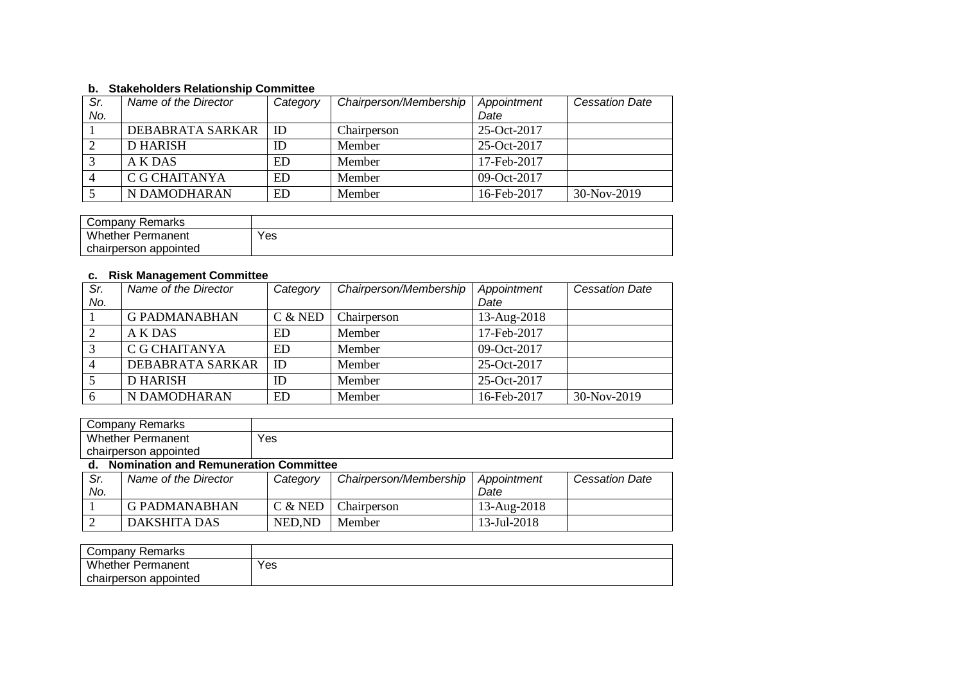### **b. Stakeholders Relationship Committee**

| Sr. | Name of the Director | Category  | Chairperson/Membership | Appointment   | <b>Cessation Date</b> |
|-----|----------------------|-----------|------------------------|---------------|-----------------------|
| No. |                      |           |                        | Date          |                       |
|     | DEBABRATA SARKAR     | ID        | Chairperson            | $25-Oct-2017$ |                       |
|     | <b>D HARISH</b>      | ID        | Member                 | 25-Oct-2017   |                       |
|     | A K DAS              | <b>ED</b> | Member                 | 17-Feb-2017   |                       |
|     | C G CHAITANYA        | ED        | Member                 | $09-Oct-2017$ |                       |
|     | N DAMODHARAN         | ED        | Member                 | 16-Feb-2017   | 30-Nov-2019           |

| Company Remarks          |     |
|--------------------------|-----|
| <b>Whether Permanent</b> | Yes |
| chairperson appointed    |     |

## **c. Risk Management Committee**

| Sr.            | Name of the Director | Category  | Chairperson/Membership | Appointment | <b>Cessation Date</b> |
|----------------|----------------------|-----------|------------------------|-------------|-----------------------|
| No.            |                      |           |                        | Date        |                       |
|                | <b>G PADMANABHAN</b> | $C &$ NED | Chairperson            | 13-Aug-2018 |                       |
| 2              | A K DAS              | ED        | Member                 | 17-Feb-2017 |                       |
| 3              | C G CHAITANYA        | ED        | Member                 | 09-Oct-2017 |                       |
| $\overline{4}$ | DEBABRATA SARKAR     | ID        | Member                 | 25-Oct-2017 |                       |
|                | <b>D HARISH</b>      | ID        | Member                 | 25-Oct-2017 |                       |
| 6              | N DAMODHARAN         | ED        | Member                 | 16-Feb-2017 | 30-Nov-2019           |

|            | <b>Company Remarks</b>                   |           |                        |             |                       |  |  |  |
|------------|------------------------------------------|-----------|------------------------|-------------|-----------------------|--|--|--|
|            | <b>Whether Permanent</b>                 | Yes       |                        |             |                       |  |  |  |
|            | chairperson appointed                    |           |                        |             |                       |  |  |  |
|            | d. Nomination and Remuneration Committee |           |                        |             |                       |  |  |  |
| Sr.        | Name of the Director                     | Category  | Chairperson/Membership | Appointment | <b>Cessation Date</b> |  |  |  |
| No.        |                                          |           |                        | Date        |                       |  |  |  |
|            | G PADMANABHAN                            | $C &$ NED | Chairperson            | 13-Aug-2018 |                       |  |  |  |
| $\bigcirc$ | <b>DAKSHITA DAS</b>                      | NED, ND   | Member                 | 13-Jul-2018 |                       |  |  |  |

| Company Remarks          |     |
|--------------------------|-----|
| <b>Whether Permanent</b> | Yes |
| chairperson appointed    |     |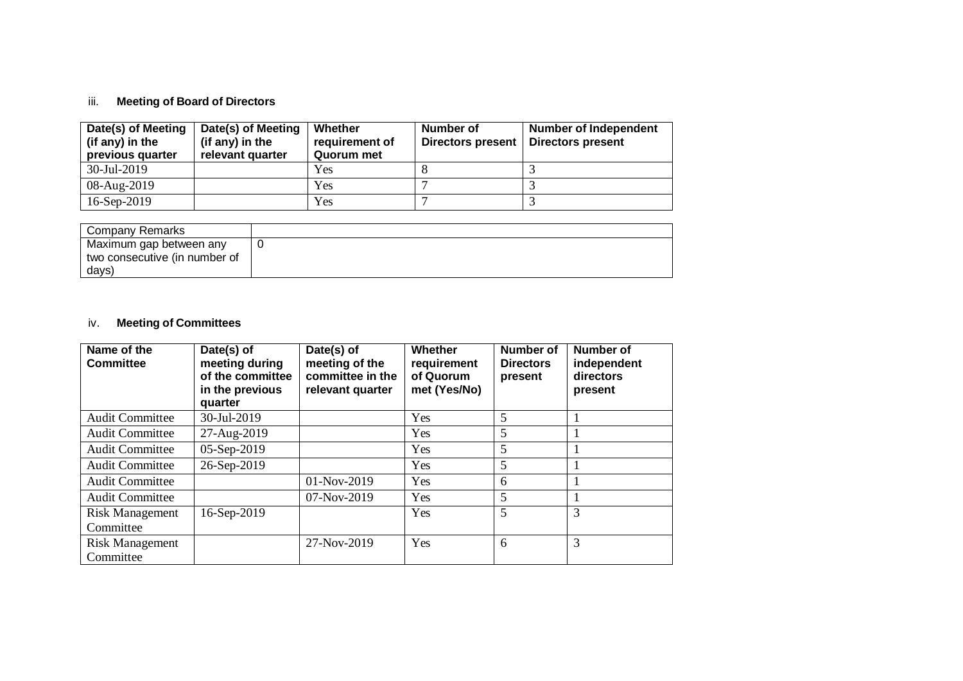# iii. **Meeting of Board of Directors**

| Date(s) of Meeting<br>(if any) in the<br>previous quarter | Date(s) of Meeting<br>(if any) in the<br>relevant quarter | Whether<br>requirement of<br>Quorum met | Number of<br><b>Directors present</b> | <b>Number of Independent</b><br><b>Directors present</b> |
|-----------------------------------------------------------|-----------------------------------------------------------|-----------------------------------------|---------------------------------------|----------------------------------------------------------|
| 30-Jul-2019                                               |                                                           | Yes                                     |                                       |                                                          |
| 08-Aug-2019                                               |                                                           | Yes                                     |                                       |                                                          |
| 16-Sep-2019                                               |                                                           | Yes                                     |                                       |                                                          |

| Company Remarks               |  |
|-------------------------------|--|
|                               |  |
| Maximum gap between any       |  |
|                               |  |
|                               |  |
| two consecutive (in number of |  |
|                               |  |
| days)                         |  |
|                               |  |

# iv. **Meeting of Committees**

| Name of the<br><b>Committee</b>     | Date(s) of<br>meeting during<br>of the committee<br>in the previous<br>quarter | Date(s) of<br>meeting of the<br>committee in the<br>relevant quarter | <b>Whether</b><br>requirement<br>of Quorum<br>met (Yes/No) | <b>Number of</b><br><b>Directors</b><br>present | <b>Number of</b><br>independent<br>directors<br>present |
|-------------------------------------|--------------------------------------------------------------------------------|----------------------------------------------------------------------|------------------------------------------------------------|-------------------------------------------------|---------------------------------------------------------|
| <b>Audit Committee</b>              | 30-Jul-2019                                                                    |                                                                      | Yes                                                        | 5                                               |                                                         |
| <b>Audit Committee</b>              | 27-Aug-2019                                                                    |                                                                      | Yes                                                        | 5                                               |                                                         |
| <b>Audit Committee</b>              | 05-Sep-2019                                                                    |                                                                      | Yes                                                        | 5                                               |                                                         |
| <b>Audit Committee</b>              | 26-Sep-2019                                                                    |                                                                      | Yes                                                        | 5                                               |                                                         |
| <b>Audit Committee</b>              |                                                                                | $01-Nov-2019$                                                        | Yes                                                        | 6                                               |                                                         |
| <b>Audit Committee</b>              |                                                                                | $07-Nov-2019$                                                        | Yes                                                        | 5                                               |                                                         |
| <b>Risk Management</b>              | 16-Sep-2019                                                                    |                                                                      | Yes                                                        | 5                                               | 3                                                       |
| Committee                           |                                                                                |                                                                      |                                                            |                                                 |                                                         |
| <b>Risk Management</b><br>Committee |                                                                                | 27-Nov-2019                                                          | Yes                                                        | 6                                               | 3                                                       |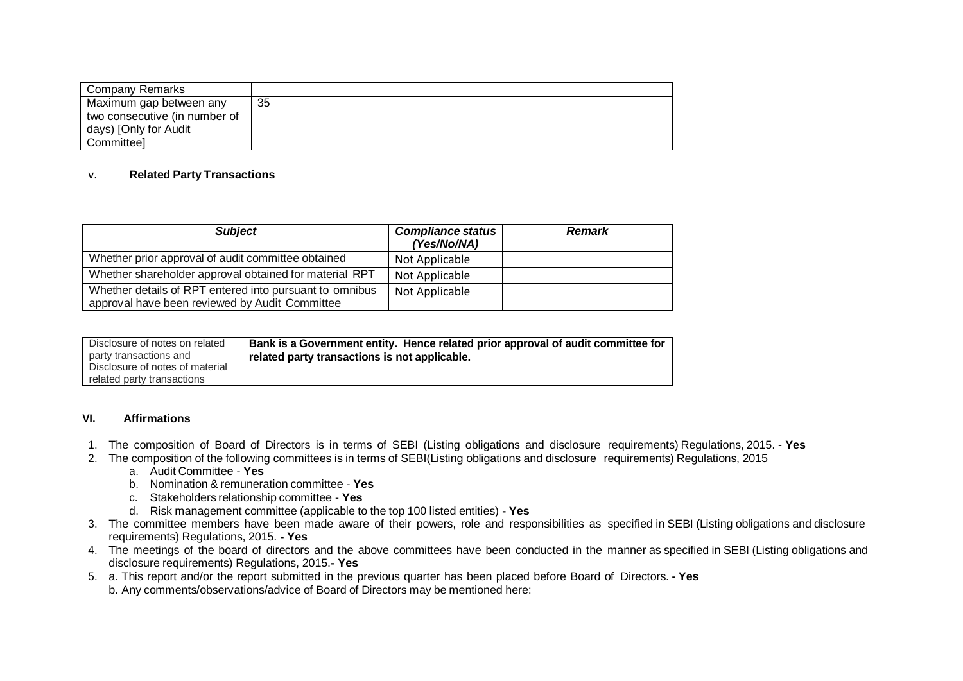| Company Remarks               |    |
|-------------------------------|----|
| Maximum gap between any       | 35 |
| two consecutive (in number of |    |
| days) [Only for Audit         |    |
| Committeel                    |    |

### v. **Related Party Transactions**

| <b>Subject</b>                                                                                            | <b>Compliance status</b><br>(Yes/No/NA) | <b>Remark</b> |
|-----------------------------------------------------------------------------------------------------------|-----------------------------------------|---------------|
| Whether prior approval of audit committee obtained                                                        | Not Applicable                          |               |
| Whether shareholder approval obtained for material RPT                                                    | Not Applicable                          |               |
| Whether details of RPT entered into pursuant to omnibus<br>approval have been reviewed by Audit Committee | Not Applicable                          |               |

| Disclosure of notes on related  | Bank is a Government entity. Hence related prior approval of audit committee for |
|---------------------------------|----------------------------------------------------------------------------------|
| party transactions and          | related party transactions is not applicable.                                    |
| Disclosure of notes of material |                                                                                  |
| related party transactions      |                                                                                  |

#### **VI. Affirmations**

- 1. The composition of Board of Directors is in terms of SEBI (Listing obligations and disclosure requirements) Regulations, 2015. **Yes**
- 2. The composition of the following committees is in terms of SEBI(Listing obligations and disclosure requirements) Regulations, 2015
	- a. Audit Committee **Yes**
	- b. Nomination & remuneration committee **Yes**
	- c. Stakeholders relationship committee **Yes**
	- d. Risk management committee (applicable to the top 100 listed entities) **- Yes**
- 3. The committee members have been made aware of their powers, role and responsibilities as specified in SEBI (Listing obligations and disclosure requirements) Regulations, 2015. **- Yes**
- 4. The meetings of the board of directors and the above committees have been conducted in the manner as specified in SEBI (Listing obligations and disclosure requirements) Regulations, 2015.**- Yes**
- 5. a. This report and/or the report submitted in the previous quarter has been placed before Board of Directors. **- Yes** b. Any comments/observations/advice of Board of Directors may be mentioned here: